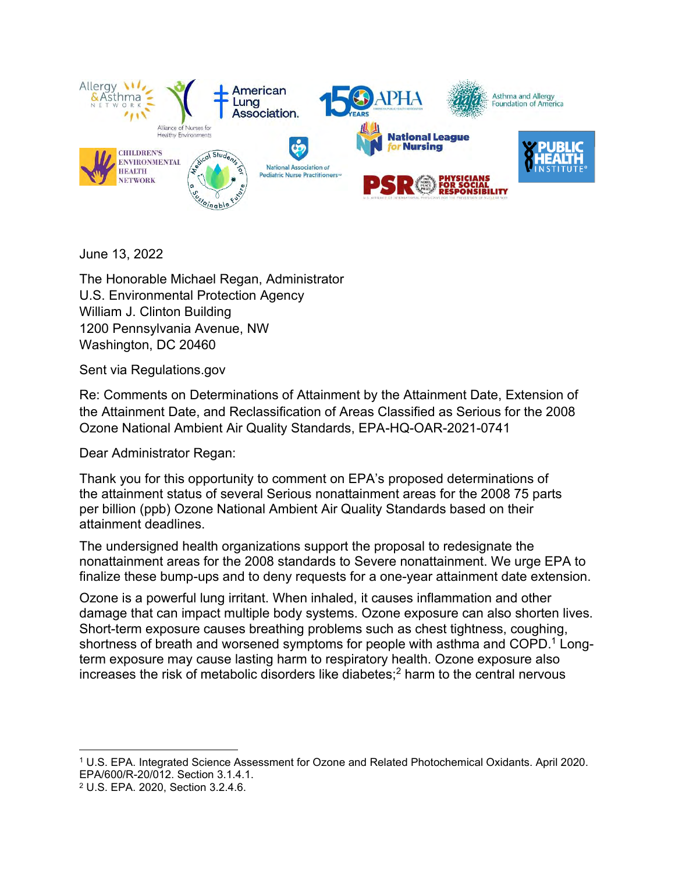

June 13, 2022

The Honorable Michael Regan, Administrator U.S. Environmental Protection Agency William J. Clinton Building 1200 Pennsylvania Avenue, NW Washington, DC 20460

Sent via Regulations.gov

Re: Comments on Determinations of Attainment by the Attainment Date, Extension of the Attainment Date, and Reclassification of Areas Classified as Serious for the 2008 Ozone National Ambient Air Quality Standards, EPA-HQ-OAR-2021-0741

Dear Administrator Regan:

Thank you for this opportunity to comment on EPA's proposed determinations of the attainment status of several Serious nonattainment areas for the 2008 75 parts per billion (ppb) Ozone National Ambient Air Quality Standards based on their attainment deadlines.

The undersigned health organizations support the proposal to redesignate the nonattainment areas for the 2008 standards to Severe nonattainment. We urge EPA to finalize these bump-ups and to deny requests for a one-year attainment date extension.

Ozone is a powerful lung irritant. When inhaled, it causes inflammation and other damage that can impact multiple body systems. Ozone exposure can also shorten lives. Short-term exposure causes breathing problems such as chest tightness, coughing, shortness of breath and worsened symptoms for people with asthma and COPD.<sup>1</sup> Longterm exposure may cause lasting harm to respiratory health. Ozone exposure also increases the risk of metabolic disorders like diabetes;<sup>2</sup> harm to the central nervous

<sup>1</sup> U.S. EPA. Integrated Science Assessment for Ozone and Related Photochemical Oxidants. April 2020. EPA/600/R-20/012. Section 3.1.4.1.

<sup>2</sup> U.S. EPA. 2020, Section 3.2.4.6.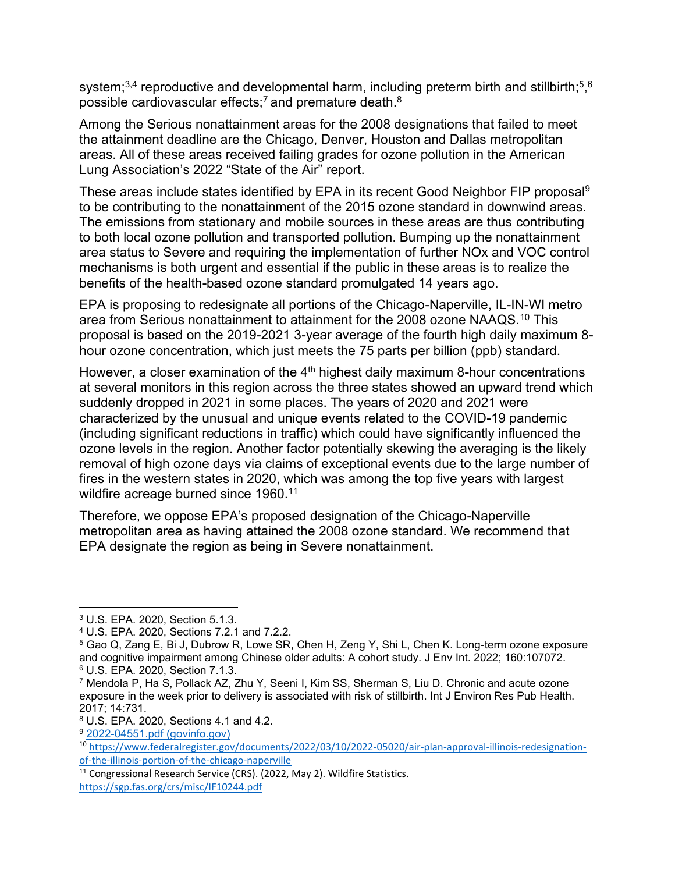system;<sup>3,4</sup> reproductive and developmental harm, including preterm birth and stillbirth;<sup>5</sup>,<sup>6</sup> possible cardiovascular effects;<sup>7</sup> and premature death. $8$ 

Among the Serious nonattainment areas for the 2008 designations that failed to meet the attainment deadline are the Chicago, Denver, Houston and Dallas metropolitan areas. All of these areas received failing grades for ozone pollution in the American Lung Association's 2022 "State of the Air" report.

These areas include states identified by EPA in its recent Good Neighbor FIP proposal<sup>9</sup> to be contributing to the nonattainment of the 2015 ozone standard in downwind areas. The emissions from stationary and mobile sources in these areas are thus contributing to both local ozone pollution and transported pollution. Bumping up the nonattainment area status to Severe and requiring the implementation of further NOx and VOC control mechanisms is both urgent and essential if the public in these areas is to realize the benefits of the health-based ozone standard promulgated 14 years ago.

EPA is proposing to redesignate all portions of the Chicago-Naperville, IL-IN-WI metro area from Serious nonattainment to attainment for the 2008 ozone NAAQS.<sup>10</sup> This proposal is based on the 2019-2021 3-year average of the fourth high daily maximum 8 hour ozone concentration, which just meets the 75 parts per billion (ppb) standard.

However, a closer examination of the  $4<sup>th</sup>$  highest daily maximum 8-hour concentrations at several monitors in this region across the three states showed an upward trend which suddenly dropped in 2021 in some places. The years of 2020 and 2021 were characterized by the unusual and unique events related to the COVID-19 pandemic (including significant reductions in traffic) which could have significantly influenced the ozone levels in the region. Another factor potentially skewing the averaging is the likely removal of high ozone days via claims of exceptional events due to the large number of fires in the western states in 2020, which was among the top five years with largest wildfire acreage burned since 1960.<sup>11</sup>

Therefore, we oppose EPA's proposed designation of the Chicago-Naperville metropolitan area as having attained the 2008 ozone standard. We recommend that EPA designate the region as being in Severe nonattainment.

<sup>3</sup> U.S. EPA. 2020, Section 5.1.3.

<sup>4</sup> U.S. EPA. 2020, Sections 7.2.1 and 7.2.2.

<sup>5</sup> Gao Q, Zang E, Bi J, Dubrow R, Lowe SR, Chen H, Zeng Y, Shi L, Chen K. Long-term ozone exposure and cognitive impairment among Chinese older adults: A cohort study. J Env Int. 2022; 160:107072. <sup>6</sup> U.S. EPA. 2020, Section 7.1.3.

<sup>7</sup> Mendola P, Ha S, Pollack AZ, Zhu Y, Seeni I, Kim SS, Sherman S, Liu D. Chronic and acute ozone exposure in the week prior to delivery is associated with risk of stillbirth. Int J Environ Res Pub Health. 2017; 14:731.

<sup>8</sup> U.S. EPA. 2020, Sections 4.1 and 4.2.

<sup>9</sup> [2022-04551.pdf \(govinfo.gov\)](https://www.govinfo.gov/content/pkg/FR-2022-04-06/pdf/2022-04551.pdf)

<sup>10</sup> [https://www.federalregister.gov/documents/2022/03/10/2022-05020/air-plan-approval-illinois-redesignation](https://www.federalregister.gov/documents/2022/03/10/2022-05020/air-plan-approval-illinois-redesignation-of-the-illinois-portion-of-the-chicago-naperville)[of-the-illinois-portion-of-the-chicago-naperville](https://www.federalregister.gov/documents/2022/03/10/2022-05020/air-plan-approval-illinois-redesignation-of-the-illinois-portion-of-the-chicago-naperville)

<sup>&</sup>lt;sup>11</sup> Congressional Research Service (CRS). (2022, May 2). Wildfire Statistics.

<https://sgp.fas.org/crs/misc/IF10244.pdf>